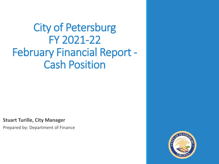City of Petersburg FY 2021-22 February Financial Report - Cash Position

**Stuart Turille, City Manager**

Prepared by: Department of Finance

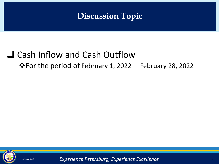# **Discussion Topic**

# ❑ Cash Inflow and Cash Outflow

### ❖For the period of February 1, 2022 – February 28, 2022



3/19/2022 2 *Experience Petersburg, Experience Excellence*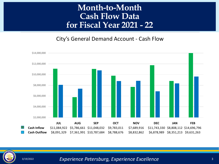## **Month-to-Month Cash Flow Data for Fiscal Year 2021 - 22**

City's General Demand Account - Cash Flow





3/19/2022 3 *Experience Petersburg, Experience Excellence*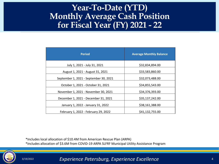#### <u>ar (</u> **Year-To-Date (YTD) Monthly Average Cash Position for Fiscal Year (FY) 2021 - 22**

| <b>Period</b>                          | <b>Average Monthly Balance</b> |
|----------------------------------------|--------------------------------|
| July 1, 2021 - July 31, 2021           | \$32,834,894.00                |
| August 1, 2021 - August 31, 2021       | \$33,583,860.00                |
| September 1, 2021 - September 30, 2021 | \$32,073,488.00                |
| October 1, 2021 - October 31, 2021     | \$34,855,543.00                |
| November 1, 2021 - November 30, 2021   | \$34,376,393.00                |
| December 1, 2021 - December 31, 2021   | \$35,137,242.00                |
| January 1, 2022 - January 31, 2022     | \$38,161,388.00                |
| February 1, 2022 - February 29, 2022   | \$41,132,755.00                |

\*Includes local allocation of \$10.4M from American Rescue Plan (ARPA)

\*Includes allocation of \$3.6M from COVID-19 ARPA SLFRF Municipal Utility Assistance Program



3/19/2022 4 *Experience Petersburg, Experience Excellence*